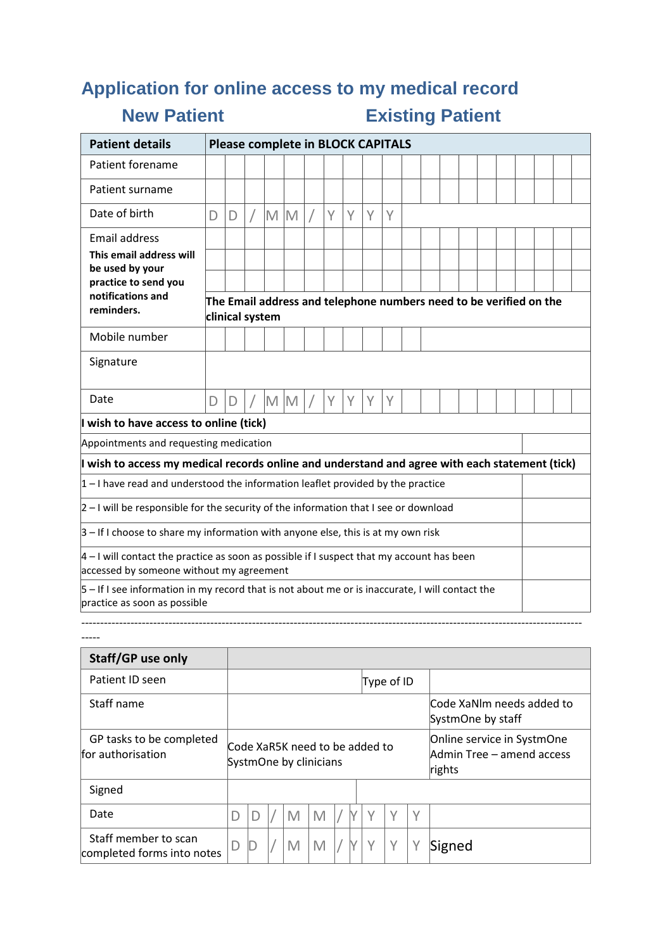# **Application for online access to my medical record**

-----

## **New Patient Existing Patient**

| <b>Patient details</b>                                                                                                                   | <b>Please complete in BLOCK CAPITALS</b>                                              |   |  |   |   |  |   |   |   |   |  |  |  |  |  |  |  |
|------------------------------------------------------------------------------------------------------------------------------------------|---------------------------------------------------------------------------------------|---|--|---|---|--|---|---|---|---|--|--|--|--|--|--|--|
| Patient forename                                                                                                                         |                                                                                       |   |  |   |   |  |   |   |   |   |  |  |  |  |  |  |  |
| Patient surname                                                                                                                          |                                                                                       |   |  |   |   |  |   |   |   |   |  |  |  |  |  |  |  |
| Date of birth                                                                                                                            | D                                                                                     | D |  | M | M |  | Y | Υ | Y | Υ |  |  |  |  |  |  |  |
| <b>Email address</b>                                                                                                                     |                                                                                       |   |  |   |   |  |   |   |   |   |  |  |  |  |  |  |  |
| This email address will<br>be used by your                                                                                               |                                                                                       |   |  |   |   |  |   |   |   |   |  |  |  |  |  |  |  |
| practice to send you                                                                                                                     |                                                                                       |   |  |   |   |  |   |   |   |   |  |  |  |  |  |  |  |
| notifications and<br>reminders.                                                                                                          | The Email address and telephone numbers need to be verified on the<br>clinical system |   |  |   |   |  |   |   |   |   |  |  |  |  |  |  |  |
| Mobile number                                                                                                                            |                                                                                       |   |  |   |   |  |   |   |   |   |  |  |  |  |  |  |  |
| Signature                                                                                                                                |                                                                                       |   |  |   |   |  |   |   |   |   |  |  |  |  |  |  |  |
| Date                                                                                                                                     | D                                                                                     | D |  | M | M |  | Υ | Υ | Y | Υ |  |  |  |  |  |  |  |
| I wish to have access to online (tick)                                                                                                   |                                                                                       |   |  |   |   |  |   |   |   |   |  |  |  |  |  |  |  |
| Appointments and requesting medication                                                                                                   |                                                                                       |   |  |   |   |  |   |   |   |   |  |  |  |  |  |  |  |
| I wish to access my medical records online and understand and agree with each statement (tick)                                           |                                                                                       |   |  |   |   |  |   |   |   |   |  |  |  |  |  |  |  |
| $1 - 1$ have read and understood the information leaflet provided by the practice                                                        |                                                                                       |   |  |   |   |  |   |   |   |   |  |  |  |  |  |  |  |
| $2 - 1$ will be responsible for the security of the information that I see or download                                                   |                                                                                       |   |  |   |   |  |   |   |   |   |  |  |  |  |  |  |  |
| $3$ – If I choose to share my information with anyone else, this is at my own risk                                                       |                                                                                       |   |  |   |   |  |   |   |   |   |  |  |  |  |  |  |  |
| $ 4 - 1$ will contact the practice as soon as possible if I suspect that my account has been<br>accessed by someone without my agreement |                                                                                       |   |  |   |   |  |   |   |   |   |  |  |  |  |  |  |  |
| $5$ – If I see information in my record that is not about me or is inaccurate, I will contact the<br>practice as soon as possible        |                                                                                       |   |  |   |   |  |   |   |   |   |  |  |  |  |  |  |  |

------------------------------------------------------------------------------------------------------------------------------------

| Staff/GP use only                                  |                                                          |  |  |   |   |  |  |                                                |            |        |                                                                   |  |  |  |  |
|----------------------------------------------------|----------------------------------------------------------|--|--|---|---|--|--|------------------------------------------------|------------|--------|-------------------------------------------------------------------|--|--|--|--|
| Patient ID seen                                    |                                                          |  |  |   |   |  |  |                                                | Type of ID |        |                                                                   |  |  |  |  |
| Staff name                                         |                                                          |  |  |   |   |  |  | Code XaNlm needs added to<br>SystmOne by staff |            |        |                                                                   |  |  |  |  |
| GP tasks to be completed<br>for authorisation      | Code XaR5K need to be added to<br>SystmOne by clinicians |  |  |   |   |  |  |                                                |            |        | Online service in SystmOne<br>Admin Tree – amend access<br>rights |  |  |  |  |
| Signed                                             |                                                          |  |  |   |   |  |  |                                                |            |        |                                                                   |  |  |  |  |
| Date                                               |                                                          |  |  | M | M |  |  |                                                |            | $\vee$ |                                                                   |  |  |  |  |
| Staff member to scan<br>completed forms into notes | D                                                        |  |  | M |   |  |  | $\checkmark$                                   | $\vee$     |        | Signed                                                            |  |  |  |  |